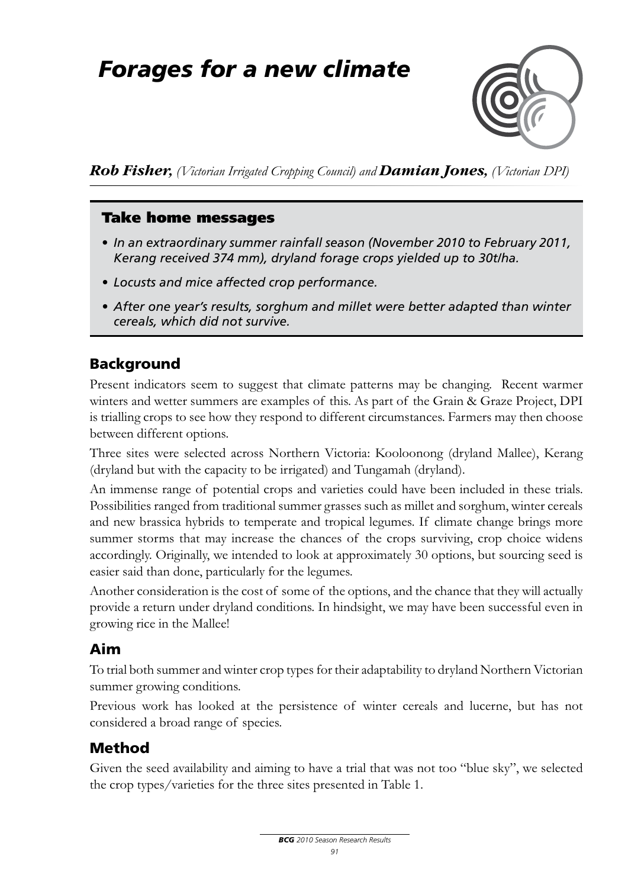# *Forages for a new climate*



*Rob Fisher, (Victorian Irrigated Cropping Council) and Damian Jones, (Victorian DPI)* 

#### Take home messages

- *• In an extraordinary summer rainfall season (November 2010 to February 2011, Kerang received 374 mm), dryland forage crops yielded up to 30t/ha.*
- *• Locusts and mice affected crop performance.*
- *• After one year's results, sorghum and millet were better adapted than winter cereals, which did not survive.*

#### Background

Present indicators seem to suggest that climate patterns may be changing. Recent warmer winters and wetter summers are examples of this. As part of the Grain & Graze Project, DPI is trialling crops to see how they respond to different circumstances. Farmers may then choose between different options.

Three sites were selected across Northern Victoria: Kooloonong (dryland Mallee), Kerang (dryland but with the capacity to be irrigated) and Tungamah (dryland).

An immense range of potential crops and varieties could have been included in these trials. Possibilities ranged from traditional summer grasses such as millet and sorghum, winter cereals and new brassica hybrids to temperate and tropical legumes. If climate change brings more summer storms that may increase the chances of the crops surviving, crop choice widens accordingly. Originally, we intended to look at approximately 30 options, but sourcing seed is easier said than done, particularly for the legumes.

Another consideration is the cost of some of the options, and the chance that they will actually provide a return under dryland conditions. In hindsight, we may have been successful even in growing rice in the Mallee!

# Aim

To trial both summer and winter crop types for their adaptability to dryland Northern Victorian summer growing conditions.

Previous work has looked at the persistence of winter cereals and lucerne, but has not considered a broad range of species.

# Method

Given the seed availability and aiming to have a trial that was not too "blue sky", we selected the crop types/varieties for the three sites presented in Table 1.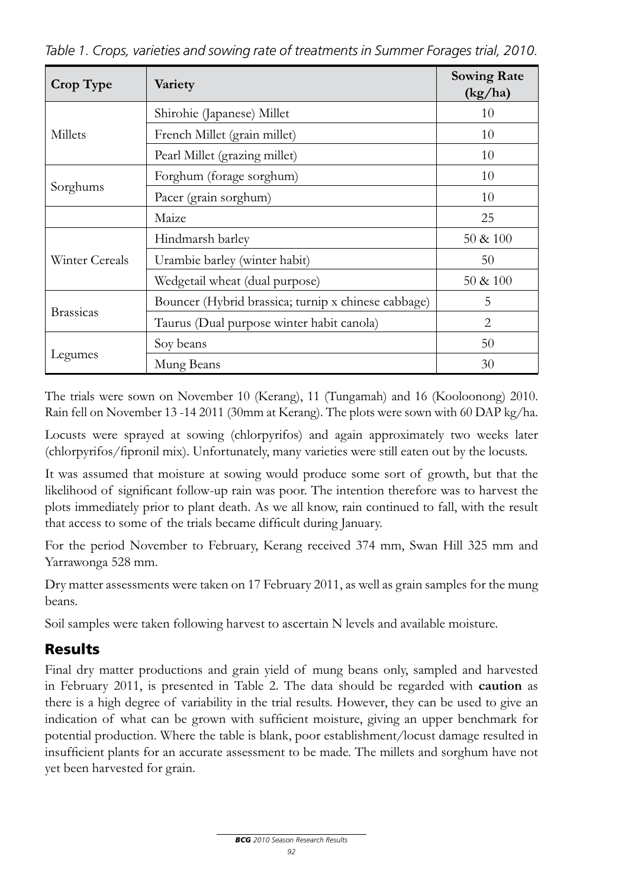| Crop Type             | Variety                                             | <b>Sowing Rate</b><br>(kg/ha) |  |
|-----------------------|-----------------------------------------------------|-------------------------------|--|
|                       | Shirohie (Japanese) Millet                          | 10                            |  |
| Millets               | French Millet (grain millet)                        | 10                            |  |
|                       | Pearl Millet (grazing millet)                       | 10                            |  |
| Sorghums              | Forghum (forage sorghum)                            | 10                            |  |
|                       | Pacer (grain sorghum)                               | 10                            |  |
|                       | Maize                                               | 25                            |  |
| <b>Winter Cereals</b> | Hindmarsh barley                                    | $50 \& 100$                   |  |
|                       | Urambie barley (winter habit)                       | 50                            |  |
|                       | Wedgetail wheat (dual purpose)                      | $50 \& 100$                   |  |
| <b>Brassicas</b>      | Bouncer (Hybrid brassica; turnip x chinese cabbage) | 5                             |  |
|                       | Taurus (Dual purpose winter habit canola)           | $\overline{2}$                |  |
| Legumes               | Soy beans                                           | 50                            |  |
|                       | Mung Beans                                          | 30                            |  |

*Table 1. Crops, varieties and sowing rate of treatments in Summer Forages trial, 2010.*

The trials were sown on November 10 (Kerang), 11 (Tungamah) and 16 (Kooloonong) 2010. Rain fell on November 13 -14 2011 (30mm at Kerang). The plots were sown with 60 DAP kg/ha.

Locusts were sprayed at sowing (chlorpyrifos) and again approximately two weeks later (chlorpyrifos/fipronil mix). Unfortunately, many varieties were still eaten out by the locusts.

It was assumed that moisture at sowing would produce some sort of growth, but that the likelihood of significant follow-up rain was poor. The intention therefore was to harvest the plots immediately prior to plant death. As we all know, rain continued to fall, with the result that access to some of the trials became difficult during January.

For the period November to February, Kerang received 374 mm, Swan Hill 325 mm and Yarrawonga 528 mm.

Dry matter assessments were taken on 17 February 2011, as well as grain samples for the mung beans.

Soil samples were taken following harvest to ascertain N levels and available moisture.

# Results

Final dry matter productions and grain yield of mung beans only, sampled and harvested in February 2011, is presented in Table 2. The data should be regarded with **caution** as there is a high degree of variability in the trial results. However, they can be used to give an indication of what can be grown with sufficient moisture, giving an upper benchmark for potential production. Where the table is blank, poor establishment/locust damage resulted in insufficient plants for an accurate assessment to be made. The millets and sorghum have not yet been harvested for grain.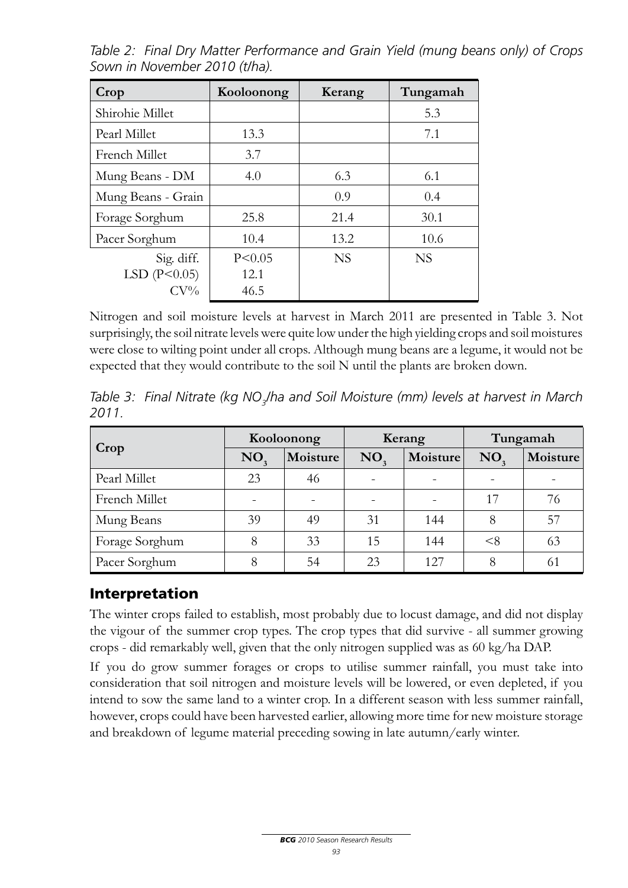*Table 2: Final Dry Matter Performance and Grain Yield (mung beans only) of Crops Sown in November 2010 (t/ha).*

| Crop               | Kooloonong<br>Kerang |           | Tungamah  |  |
|--------------------|----------------------|-----------|-----------|--|
| Shirohie Millet    |                      |           | 5.3       |  |
| Pearl Millet       | 13.3                 |           | 7.1       |  |
| French Millet      | 3.7                  |           |           |  |
| Mung Beans - DM    | 4.0                  | 6.3       | 6.1       |  |
| Mung Beans - Grain |                      | 0.9       | 0.4       |  |
| Forage Sorghum     | 25.8                 | 21.4      | 30.1      |  |
| Pacer Sorghum      | 10.4                 | 13.2      | 10.6      |  |
| Sig. diff.         | P < 0.05             | <b>NS</b> | <b>NS</b> |  |
| LSD $(P<0.05)$     | 12.1                 |           |           |  |
| $CV\%$             | 46.5                 |           |           |  |

Nitrogen and soil moisture levels at harvest in March 2011 are presented in Table 3. Not surprisingly, the soil nitrate levels were quite low under the high yielding crops and soil moistures were close to wilting point under all crops. Although mung beans are a legume, it would not be expected that they would contribute to the soil N until the plants are broken down.

*Table 3: Final Nitrate (kg NO<sub>3</sub>/ha and Soil Moisture (mm) levels at harvest in March 2011.*

|                | Kooloonong      |          | Kerang          |          | Tungamah |          |
|----------------|-----------------|----------|-----------------|----------|----------|----------|
| Crop           | NO <sub>2</sub> | Moisture | NO <sub>2</sub> | Moisture | NO,      | Moisture |
| Pearl Millet   | 23              | 46       |                 |          |          |          |
| French Millet  |                 |          |                 |          | 17       | 76       |
| Mung Beans     | 39              | 49       | 31              | 144      | 8        | 57       |
| Forage Sorghum | 8               | 33       | 15              | 144      | $<$ 8    | 63       |
| Pacer Sorghum  |                 | 54       | 23              | 127      | 8        | 61       |

#### Interpretation

The winter crops failed to establish, most probably due to locust damage, and did not display the vigour of the summer crop types. The crop types that did survive - all summer growing crops - did remarkably well, given that the only nitrogen supplied was as 60 kg/ha DAP.

If you do grow summer forages or crops to utilise summer rainfall, you must take into consideration that soil nitrogen and moisture levels will be lowered, or even depleted, if you intend to sow the same land to a winter crop. In a different season with less summer rainfall, however, crops could have been harvested earlier, allowing more time for new moisture storage and breakdown of legume material preceding sowing in late autumn/early winter.